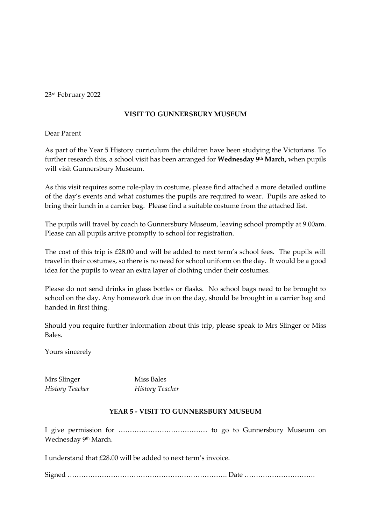23rd February 2022

## **VISIT TO GUNNERSBURY MUSEUM**

Dear Parent

As part of the Year 5 History curriculum the children have been studying the Victorians. To further research this, a school visit has been arranged for **Wednesday 9 th March,** when pupils will visit Gunnersbury Museum.

As this visit requires some role-play in costume, please find attached a more detailed outline of the day's events and what costumes the pupils are required to wear. Pupils are asked to bring their lunch in a carrier bag. Please find a suitable costume from the attached list.

The pupils will travel by coach to Gunnersbury Museum, leaving school promptly at 9.00am. Please can all pupils arrive promptly to school for registration.

The cost of this trip is £28.00 and will be added to next term's school fees. The pupils will travel in their costumes, so there is no need for school uniform on the day. It would be a good idea for the pupils to wear an extra layer of clothing under their costumes.

Please do not send drinks in glass bottles or flasks. No school bags need to be brought to school on the day. Any homework due in on the day, should be brought in a carrier bag and handed in first thing.

Should you require further information about this trip, please speak to Mrs Slinger or Miss Bales.

Yours sincerely

Mrs Slinger Miss Bales *History Teacher History Teacher*

# **YEAR 5 - VISIT TO GUNNERSBURY MUSEUM**

I give permission for ………………………………… to go to Gunnersbury Museum on Wednesday 9<sup>th</sup> March.

I understand that £28.00 will be added to next term's invoice.

Signed ……………………………………………………………. Date ………………………….